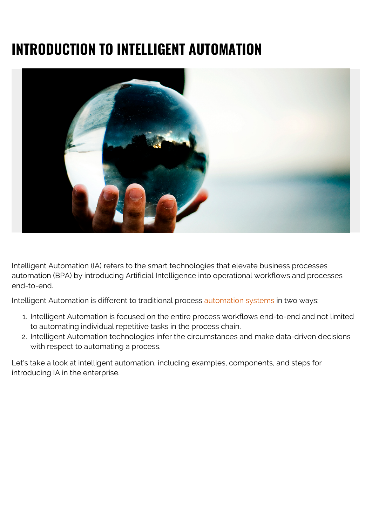# **INTRODUCTION TO INTELLIGENT AUTOMATION**



Intelligent Automation (IA) refers to the smart technologies that elevate business processes automation (BPA) by introducing Artificial Intelligence into operational workflows and processes end-to-end.

Intelligent Automation is different to traditional process **automation systems** in two ways:

- 1. Intelligent Automation is focused on the entire process workflows end-to-end and not limited to automating individual repetitive tasks in the process chain.
- 2. Intelligent Automation technologies infer the circumstances and make data-driven decisions with respect to automating a process.

Let's take a look at intelligent automation, including examples, components, and steps for introducing IA in the enterprise.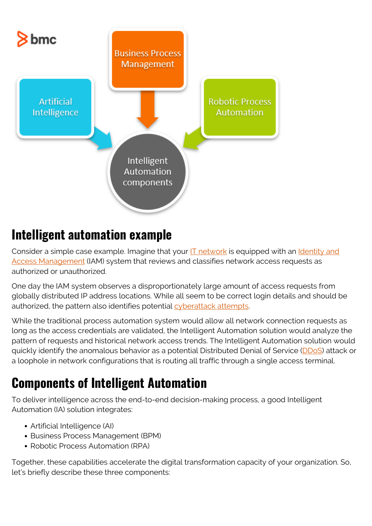

## **Intelligent automation example**

Consider a simple case example. Imagine that your [IT network](https://blogs.bmc.com/blogs/enterprise-networking/) is equipped with an [Identity and](https://blogs.bmc.com/blogs/identity-access-management/) [Access Management](https://blogs.bmc.com/blogs/identity-access-management/) (IAM) system that reviews and classifies network access requests as authorized or unauthorized.

One day the IAM system observes a disproportionately large amount of access requests from globally distributed IP address locations. While all seem to be correct login details and should be authorized, the pattern also identifies potential [cyberattack attempts](https://blogs.bmc.com/blogs/artificial-intelligence-cyberattacks/).

While the traditional process automation system would allow all network connection requests as long as the access credentials are validated, the Intelligent Automation solution would analyze the pattern of requests and historical network access trends. The Intelligent Automation solution would quickly identify the anomalous behavior as a potential Distributed Denial of Service [\(DDoS\)](https://en.wikipedia.org/wiki/Denial-of-service_attack) attack or a loophole in network configurations that is routing all traffic through a single access terminal.

## **Components of Intelligent Automation**

To deliver intelligence across the end-to-end decision-making process, a good Intelligent Automation (IA) solution integrates:

- Artificial Intelligence (AI)
- Business Process Management (BPM)
- Robotic Process Automation (RPA)

Together, these capabilities accelerate the digital transformation capacity of your organization. So, let's briefly describe these three components: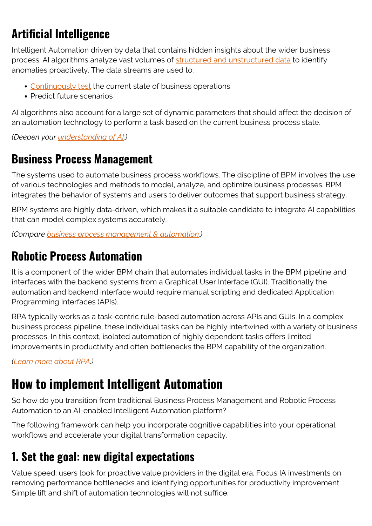## **Artificial Intelligence**

Intelligent Automation driven by data that contains hidden insights about the wider business process. AI algorithms analyze vast volumes of [structured and unstructured data](https://blogs.bmc.com/blogs/structured-vs-unstructured-data/) to identify anomalies proactively. The data streams are used to:

- [Continuously test](https://blogs.bmc.com/blogs/devops-continuous-testing/) the current state of business operations
- Predict future scenarios

AI algorithms also account for a large set of dynamic parameters that should affect the decision of an automation technology to perform a task based on the current business process state.

*(Deepen your [understanding of AI](https://blogs.bmc.com/blogs/artificial-intelligence-vs-machine-learning/).)*

#### **Business Process Management**

The systems used to automate business process workflows. The discipline of BPM involves the use of various technologies and methods to model, analyze, and optimize business processes. BPM integrates the behavior of systems and users to deliver outcomes that support business strategy.

BPM systems are highly data-driven, which makes it a suitable candidate to integrate AI capabilities that can model complex systems accurately.

*(Compare [business process management & automation.](https://blogs.bmc.com/blogs/workload-automation-vs-robotic-process-automation/))*

#### **Robotic Process Automation**

It is a component of the wider BPM chain that automates individual tasks in the BPM pipeline and interfaces with the backend systems from a Graphical User Interface (GUI). Traditionally the automation and backend interface would require manual scripting and dedicated Application Programming Interfaces (APIs).

RPA typically works as a task-centric rule-based automation across APIs and GUIs. In a complex business process pipeline, these individual tasks can be highly intertwined with a variety of business processes. In this context, isolated automation of highly dependent tasks offers limited improvements in productivity and often bottlenecks the BPM capability of the organization.

*([Learn more about RPA](https://blogs.bmc.com/blogs/workload-automation-vs-robotic-process-automation/).)*

## **How to implement Intelligent Automation**

So how do you transition from traditional Business Process Management and Robotic Process Automation to an AI-enabled Intelligent Automation platform?

The following framework can help you incorporate cognitive capabilities into your operational workflows and accelerate your digital transformation capacity.

## **1. Set the goal: new digital expectations**

Value speed: users look for proactive value providers in the digital era. Focus IA investments on removing performance bottlenecks and identifying opportunities for productivity improvement. Simple lift and shift of automation technologies will not suffice.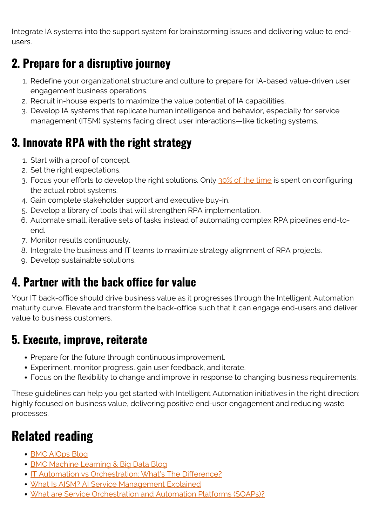Integrate IA systems into the support system for brainstorming issues and delivering value to endusers.

#### **2. Prepare for a disruptive journey**

- 1. Redefine your organizational structure and culture to prepare for IA-based value-driven user engagement business operations.
- 2. Recruit in-house experts to maximize the value potential of IA capabilities.
- 3. Develop IA systems that replicate human intelligence and behavior, especially for service management (ITSM) systems facing direct user interactions—like ticketing systems.

### **3. Innovate RPA with the right strategy**

- 1. Start with a proof of concept.
- 2. Set the right expectations.
- 3. Focus your efforts to develop the right solutions. Only [30% of the time](https://link.springer.com/book/10.1007/978-1-4842-3808-0) is spent on configuring the actual robot systems.
- 4. Gain complete stakeholder support and executive buy-in.
- 5. Develop a library of tools that will strengthen RPA implementation.
- 6. Automate small, iterative sets of tasks instead of automating complex RPA pipelines end-toend.
- 7. Monitor results continuously.
- 8. Integrate the business and IT teams to maximize strategy alignment of RPA projects.
- 9. Develop sustainable solutions.

#### **4. Partner with the back office for value**

Your IT back-office should drive business value as it progresses through the Intelligent Automation maturity curve. Elevate and transform the back-office such that it can engage end-users and deliver value to business customers.

#### **5. Execute, improve, reiterate**

- Prepare for the future through continuous improvement.
- Experiment, monitor progress, gain user feedback, and iterate.
- Focus on the flexibility to change and improve in response to changing business requirements.

These guidelines can help you get started with Intelligent Automation initiatives in the right direction: highly focused on business value, delivering positive end-user engagement and reducing waste processes.

## **Related reading**

- [BMC AIOps Blog](https://blogs.bmc.com/blogs/categories/aiops/)
- [BMC Machine Learning & Big Data Blog](https://blogs.bmc.com/blogs/categories/machine-learning-big-data/)
- **[IT Automation vs Orchestration: What's The Difference?](https://blogs.bmc.com/blogs/it-orchestration-vs-automation-whats-the-difference/)**
- [What Is AISM? AI Service Management Explained](https://blogs.bmc.com/blogs/aism-ai-service-management/)
- [What are Service Orchestration and Automation Platforms \(SOAPs\)?](https://blogs.bmc.com/blogs/soaps-service-orchestration-automation-platforms/)